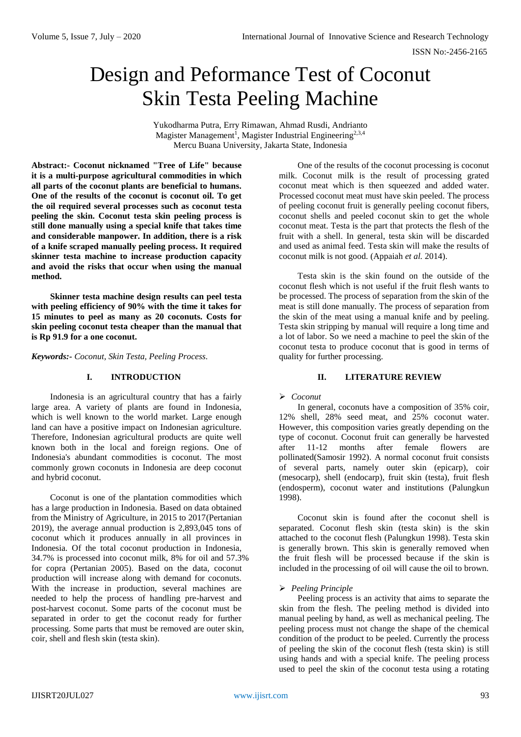ISSN No:-2456-2165

# Design and Peformance Test of Coconut Skin Testa Peeling Machine

Yukodharma Putra, Erry Rimawan, Ahmad Rusdi, Andrianto Magister Management<sup>1</sup>, Magister Industrial Engineering<sup>2,3,4</sup> Mercu Buana University, Jakarta State, Indonesia

**Abstract:- Coconut nicknamed "Tree of Life" because it is a multi-purpose agricultural commodities in which all parts of the coconut plants are beneficial to humans. One of the results of the coconut is coconut oil. To get the oil required several processes such as coconut testa peeling the skin. Coconut testa skin peeling process is still done manually using a special knife that takes time and considerable manpower. In addition, there is a risk of a knife scraped manually peeling process. It required skinner testa machine to increase production capacity and avoid the risks that occur when using the manual method.**

**Skinner testa machine design results can peel testa with peeling efficiency of 90% with the time it takes for 15 minutes to peel as many as 20 coconuts. Costs for skin peeling coconut testa cheaper than the manual that is Rp 91.9 for a one coconut.**

*Keywords:- Coconut, Skin Testa, Peeling Process.*

# **I. INTRODUCTION**

Indonesia is an agricultural country that has a fairly large area. A variety of plants are found in Indonesia, which is well known to the world market. Large enough land can have a positive impact on Indonesian agriculture. Therefore, Indonesian agricultural products are quite well known both in the local and foreign regions. One of Indonesia's abundant commodities is coconut. The most commonly grown coconuts in Indonesia are deep coconut and hybrid coconut.

Coconut is one of the plantation commodities which has a large production in Indonesia. Based on data obtained from the Ministry of Agriculture, in 2015 to 2017(Pertanian 2019), the average annual production is 2,893,045 tons of coconut which it produces annually in all provinces in Indonesia. Of the total coconut production in Indonesia, 34.7% is processed into coconut milk, 8% for oil and 57.3% for copra (Pertanian 2005). Based on the data, coconut production will increase along with demand for coconuts. With the increase in production, several machines are needed to help the process of handling pre-harvest and post-harvest coconut. Some parts of the coconut must be separated in order to get the coconut ready for further processing. Some parts that must be removed are outer skin, coir, shell and flesh skin (testa skin).

One of the results of the coconut processing is coconut milk. Coconut milk is the result of processing grated coconut meat which is then squeezed and added water. Processed coconut meat must have skin peeled. The process of peeling coconut fruit is generally peeling coconut fibers, coconut shells and peeled coconut skin to get the whole coconut meat. Testa is the part that protects the flesh of the fruit with a shell. In general, testa skin will be discarded and used as animal feed. Testa skin will make the results of coconut milk is not good. (Appaiah *et al.* 2014).

Testa skin is the skin found on the outside of the coconut flesh which is not useful if the fruit flesh wants to be processed. The process of separation from the skin of the meat is still done manually. The process of separation from the skin of the meat using a manual knife and by peeling. Testa skin stripping by manual will require a long time and a lot of labor. So we need a machine to peel the skin of the coconut testa to produce coconut that is good in terms of quality for further processing.

# **II. LITERATURE REVIEW**

# *Coconut*

In general, coconuts have a composition of 35% coir, 12% shell, 28% seed meat, and 25% coconut water. However, this composition varies greatly depending on the type of coconut. Coconut fruit can generally be harvested after 11-12 months after female flowers are pollinated(Samosir 1992). A normal coconut fruit consists of several parts, namely outer skin (epicarp), coir (mesocarp), shell (endocarp), fruit skin (testa), fruit flesh (endosperm), coconut water and institutions (Palungkun 1998).

Coconut skin is found after the coconut shell is separated. Coconut flesh skin (testa skin) is the skin attached to the coconut flesh (Palungkun 1998). Testa skin is generally brown. This skin is generally removed when the fruit flesh will be processed because if the skin is included in the processing of oil will cause the oil to brown.

# *Peeling Principle*

Peeling process is an activity that aims to separate the skin from the flesh. The peeling method is divided into manual peeling by hand, as well as mechanical peeling. The peeling process must not change the shape of the chemical condition of the product to be peeled. Currently the process of peeling the skin of the coconut flesh (testa skin) is still using hands and with a special knife. The peeling process used to peel the skin of the coconut testa using a rotating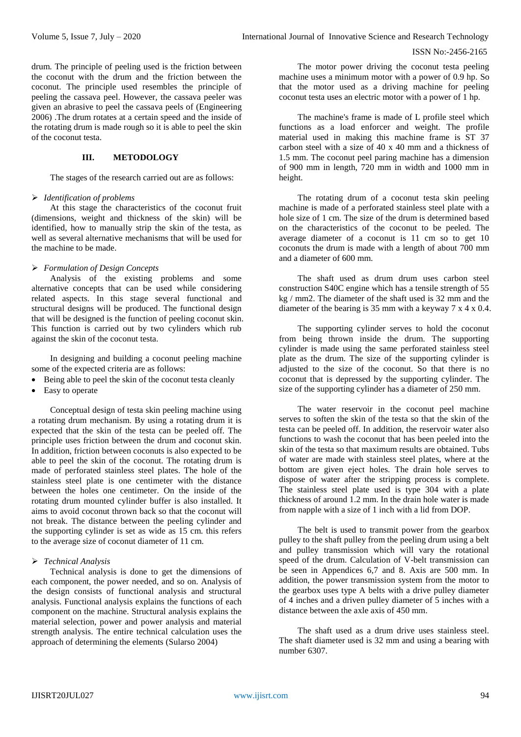drum. The principle of peeling used is the friction between the coconut with the drum and the friction between the coconut. The principle used resembles the principle of peeling the cassava peel. However, the cassava peeler was given an abrasive to peel the cassava peels of (Engineering 2006) .The drum rotates at a certain speed and the inside of the rotating drum is made rough so it is able to peel the skin of the coconut testa.

# **III. METODOLOGY**

The stages of the research carried out are as follows:

#### *Identification of problems*

At this stage the characteristics of the coconut fruit (dimensions, weight and thickness of the skin) will be identified, how to manually strip the skin of the testa, as well as several alternative mechanisms that will be used for the machine to be made.

#### *Formulation of Design Concepts*

Analysis of the existing problems and some alternative concepts that can be used while considering related aspects. In this stage several functional and structural designs will be produced. The functional design that will be designed is the function of peeling coconut skin. This function is carried out by two cylinders which rub against the skin of the coconut testa.

In designing and building a coconut peeling machine some of the expected criteria are as follows:

- Being able to peel the skin of the coconut testa cleanly
- Easy to operate

Conceptual design of testa skin peeling machine using a rotating drum mechanism. By using a rotating drum it is expected that the skin of the testa can be peeled off. The principle uses friction between the drum and coconut skin. In addition, friction between coconuts is also expected to be able to peel the skin of the coconut. The rotating drum is made of perforated stainless steel plates. The hole of the stainless steel plate is one centimeter with the distance between the holes one centimeter. On the inside of the rotating drum mounted cylinder buffer is also installed. It aims to avoid coconut thrown back so that the coconut will not break. The distance between the peeling cylinder and the supporting cylinder is set as wide as 15 cm. this refers to the average size of coconut diameter of 11 cm.

#### *Technical Analysis*

Technical analysis is done to get the dimensions of each component, the power needed, and so on. Analysis of the design consists of functional analysis and structural analysis. Functional analysis explains the functions of each component on the machine. Structural analysis explains the material selection, power and power analysis and material strength analysis. The entire technical calculation uses the approach of determining the elements (Sularso 2004)

The motor power driving the coconut testa peeling machine uses a minimum motor with a power of 0.9 hp. So that the motor used as a driving machine for peeling coconut testa uses an electric motor with a power of 1 hp.

The machine's frame is made of L profile steel which functions as a load enforcer and weight. The profile material used in making this machine frame is ST 37 carbon steel with a size of 40 x 40 mm and a thickness of 1.5 mm. The coconut peel paring machine has a dimension of 900 mm in length, 720 mm in width and 1000 mm in height.

The rotating drum of a coconut testa skin peeling machine is made of a perforated stainless steel plate with a hole size of 1 cm. The size of the drum is determined based on the characteristics of the coconut to be peeled. The average diameter of a coconut is 11 cm so to get 10 coconuts the drum is made with a length of about 700 mm and a diameter of 600 mm.

The shaft used as drum drum uses carbon steel construction S40C engine which has a tensile strength of 55 kg / mm2. The diameter of the shaft used is 32 mm and the diameter of the bearing is 35 mm with a keyway 7 x 4 x 0.4.

The supporting cylinder serves to hold the coconut from being thrown inside the drum. The supporting cylinder is made using the same perforated stainless steel plate as the drum. The size of the supporting cylinder is adjusted to the size of the coconut. So that there is no coconut that is depressed by the supporting cylinder. The size of the supporting cylinder has a diameter of 250 mm.

The water reservoir in the coconut peel machine serves to soften the skin of the testa so that the skin of the testa can be peeled off. In addition, the reservoir water also functions to wash the coconut that has been peeled into the skin of the testa so that maximum results are obtained. Tubs of water are made with stainless steel plates, where at the bottom are given eject holes. The drain hole serves to dispose of water after the stripping process is complete. The stainless steel plate used is type 304 with a plate thickness of around 1.2 mm. In the drain hole water is made from napple with a size of 1 inch with a lid from DOP.

The belt is used to transmit power from the gearbox pulley to the shaft pulley from the peeling drum using a belt and pulley transmission which will vary the rotational speed of the drum. Calculation of V-belt transmission can be seen in Appendices 6,7 and 8. Axis are 500 mm. In addition, the power transmission system from the motor to the gearbox uses type A belts with a drive pulley diameter of 4 inches and a driven pulley diameter of 5 inches with a distance between the axle axis of 450 mm.

The shaft used as a drum drive uses stainless steel. The shaft diameter used is 32 mm and using a bearing with number 6307.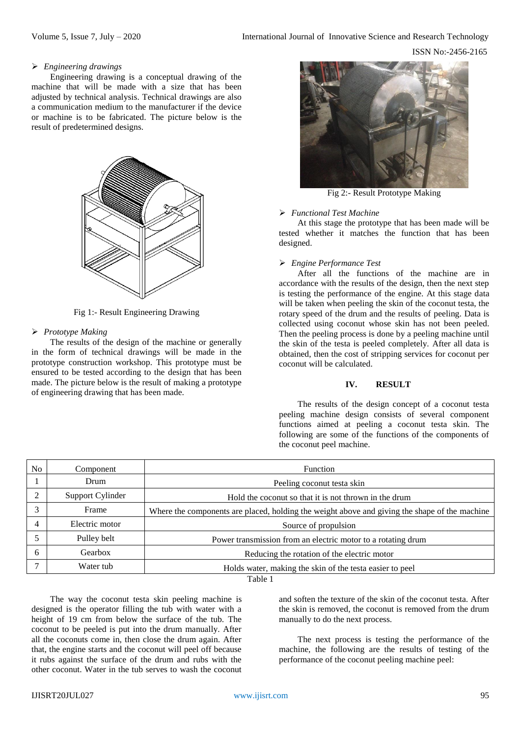ISSN No:-2456-2165

# *Engineering drawings*

Engineering drawing is a conceptual drawing of the machine that will be made with a size that has been adjusted by technical analysis. Technical drawings are also a communication medium to the manufacturer if the device or machine is to be fabricated. The picture below is the result of predetermined designs.



Fig 1:- Result Engineering Drawing

# *Prototype Making*

The results of the design of the machine or generally in the form of technical drawings will be made in the prototype construction workshop. This prototype must be ensured to be tested according to the design that has been made. The picture below is the result of making a prototype of engineering drawing that has been made.



Fig 2:- Result Prototype Making

#### *Functional Test Machine*

At this stage the prototype that has been made will be tested whether it matches the function that has been designed.

# *Engine Performance Test*

After all the functions of the machine are in accordance with the results of the design, then the next step is testing the performance of the engine. At this stage data will be taken when peeling the skin of the coconut testa, the rotary speed of the drum and the results of peeling. Data is collected using coconut whose skin has not been peeled. Then the peeling process is done by a peeling machine until the skin of the testa is peeled completely. After all data is obtained, then the cost of stripping services for coconut per coconut will be calculated.

# **IV. RESULT**

The results of the design concept of a coconut testa peeling machine design consists of several component functions aimed at peeling a coconut testa skin. The following are some of the functions of the components of the coconut peel machine.

| No.     | Component        | Function                                                                                      |  |  |  |
|---------|------------------|-----------------------------------------------------------------------------------------------|--|--|--|
|         | Drum             | Peeling coconut testa skin                                                                    |  |  |  |
| ∍       | Support Cylinder | Hold the coconut so that it is not thrown in the drum                                         |  |  |  |
|         | Frame            | Where the components are placed, holding the weight above and giving the shape of the machine |  |  |  |
| 4       | Electric motor   | Source of propulsion                                                                          |  |  |  |
|         | Pulley belt      | Power transmission from an electric motor to a rotating drum                                  |  |  |  |
| 6       | Gearbox          | Reducing the rotation of the electric motor                                                   |  |  |  |
|         | Water tub        | Holds water, making the skin of the testa easier to peel                                      |  |  |  |
| Table 1 |                  |                                                                                               |  |  |  |

The way the coconut testa skin peeling machine is designed is the operator filling the tub with water with a height of 19 cm from below the surface of the tub. The coconut to be peeled is put into the drum manually. After all the coconuts come in, then close the drum again. After that, the engine starts and the coconut will peel off because it rubs against the surface of the drum and rubs with the other coconut. Water in the tub serves to wash the coconut

and soften the texture of the skin of the coconut testa. After the skin is removed, the coconut is removed from the drum manually to do the next process.

The next process is testing the performance of the machine, the following are the results of testing of the performance of the coconut peeling machine peel: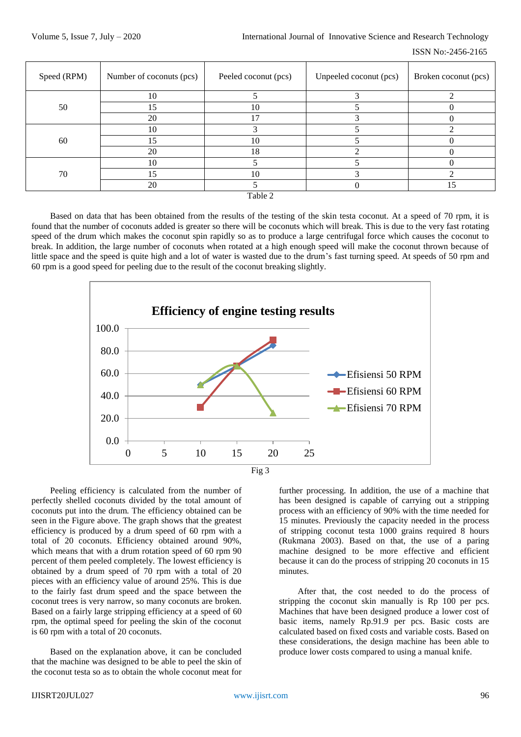| Speed (RPM) | Number of coconuts (pcs) | Peeled coconut (pcs) | Unpeeled coconut (pcs) | Broken coconut (pcs) |  |  |
|-------------|--------------------------|----------------------|------------------------|----------------------|--|--|
|             | 10                       |                      |                        |                      |  |  |
| 50          | 15                       | 10                   |                        |                      |  |  |
|             | 20                       | 17                   |                        |                      |  |  |
|             | 10                       |                      |                        |                      |  |  |
| 60          | 15                       | 10                   |                        |                      |  |  |
|             | 20                       | 18                   |                        |                      |  |  |
|             | 10                       |                      |                        |                      |  |  |
| 70          | 15                       | 10                   |                        |                      |  |  |
|             | 20                       |                      |                        | 15                   |  |  |
| Table 2     |                          |                      |                        |                      |  |  |

Based on data that has been obtained from the results of the testing of the skin testa coconut. At a speed of 70 rpm, it is found that the number of coconuts added is greater so there will be coconuts which will break. This is due to the very fast rotating speed of the drum which makes the coconut spin rapidly so as to produce a large centrifugal force which causes the coconut to break. In addition, the large number of coconuts when rotated at a high enough speed will make the coconut thrown because of little space and the speed is quite high and a lot of water is wasted due to the drum's fast turning speed. At speeds of 50 rpm and 60 rpm is a good speed for peeling due to the result of the coconut breaking slightly.



Peeling efficiency is calculated from the number of perfectly shelled coconuts divided by the total amount of coconuts put into the drum. The efficiency obtained can be seen in the Figure above. The graph shows that the greatest efficiency is produced by a drum speed of 60 rpm with a total of 20 coconuts. Efficiency obtained around 90%, which means that with a drum rotation speed of 60 rpm 90 percent of them peeled completely. The lowest efficiency is obtained by a drum speed of 70 rpm with a total of 20 pieces with an efficiency value of around 25%. This is due to the fairly fast drum speed and the space between the coconut trees is very narrow, so many coconuts are broken. Based on a fairly large stripping efficiency at a speed of 60 rpm, the optimal speed for peeling the skin of the coconut is 60 rpm with a total of 20 coconuts.

Based on the explanation above, it can be concluded that the machine was designed to be able to peel the skin of the coconut testa so as to obtain the whole coconut meat for

further processing. In addition, the use of a machine that has been designed is capable of carrying out a stripping process with an efficiency of 90% with the time needed for 15 minutes. Previously the capacity needed in the process of stripping coconut testa 1000 grains required 8 hours (Rukmana 2003). Based on that, the use of a paring machine designed to be more effective and efficient because it can do the process of stripping 20 coconuts in 15 minutes.

After that, the cost needed to do the process of stripping the coconut skin manually is Rp 100 per pcs. Machines that have been designed produce a lower cost of basic items, namely Rp.91.9 per pcs. Basic costs are calculated based on fixed costs and variable costs. Based on these considerations, the design machine has been able to produce lower costs compared to using a manual knife.